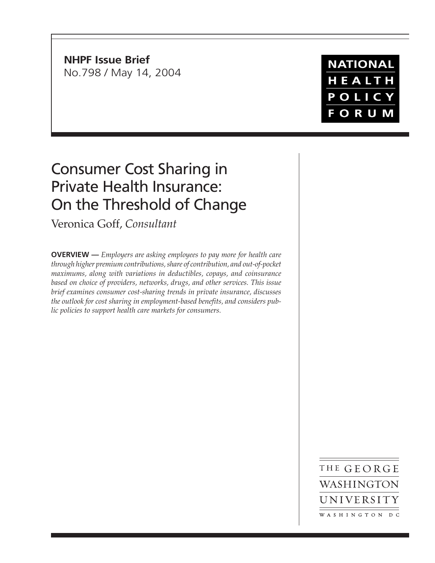**NHPF Issue Brief** No.798 / May 14, 2004

**NATIONAL** HEALTH POLICY **FORUM** 

# Consumer Cost Sharing in Private Health Insurance: On the Threshold of Change

Veronica Goff, *Consultant*

**OVERVIEW —** *Employers are asking employees to pay more for health care through higher premium contributions, share of contribution, and out-of-pocket maximums, along with variations in deductibles, copays, and coinsurance based on choice of providers, networks, drugs, and other services. This issue brief examines consumer cost-sharing trends in private insurance, discusses the outlook for cost sharing in employment-based benefits, and considers public policies to support health care markets for consumers.*

> THE GEORGE WASHINGTON UNIVERSITY WASHINGTON DC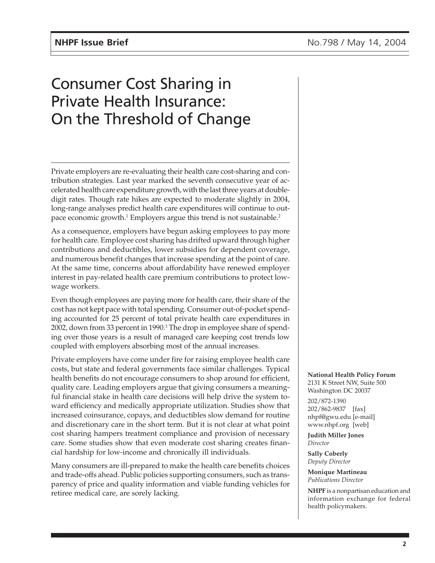# Consumer Cost Sharing in Private Health Insurance: On the Threshold of Change

Private employers are re-evaluating their health care cost-sharing and contribution strategies. Last year marked the seventh consecutive year of accelerated health care expenditure growth, with the last three years at doubledigit rates. Though rate hikes are expected to moderate slightly in 2004, long-range analyses predict health care expenditures will continue to outpace economic growth. $^1$  Employers argue this trend is not sustainable. $^2$ 

As a consequence, employers have begun asking employees to pay more for health care. Employee cost sharing has drifted upward through higher contributions and deductibles, lower subsidies for dependent coverage, and numerous benefit changes that increase spending at the point of care. At the same time, concerns about affordability have renewed employer interest in pay-related health care premium contributions to protect lowwage workers.

Even though employees are paying more for health care, their share of the cost has not kept pace with total spending. Consumer out-of-pocket spending accounted for 25 percent of total private health care expenditures in 2002, down from 33 percent in 1990.<sup>3</sup> The drop in employee share of spending over those years is a result of managed care keeping cost trends low coupled with employers absorbing most of the annual increases.

Private employers have come under fire for raising employee health care costs, but state and federal governments face similar challenges. Typical health benefits do not encourage consumers to shop around for efficient, quality care. Leading employers argue that giving consumers a meaningful financial stake in health care decisions will help drive the system toward efficiency and medically appropriate utilization. Studies show that increased coinsurance, copays, and deductibles slow demand for routine and discretionary care in the short term. But it is not clear at what point cost sharing hampers treatment compliance and provision of necessary care. Some studies show that even moderate cost sharing creates financial hardship for low-income and chronically ill individuals.

Many consumers are ill-prepared to make the health care benefits choices and trade-offs ahead. Public policies supporting consumers, such as transparency of price and quality information and viable funding vehicles for retiree medical care, are sorely lacking.

**National Health Policy Forum** 2131 K Street NW, Suite 500 Washington DC 20037

202/872-1390 202/862-9837 [fax] nhpf@gwu.edu [e-mail] www.nhpf.org [web]

**Judith Miller Jones** *Director*

**Sally Coberly** *Deputy Director*

**Monique Martineau** *Publications Director*

**NHPF** is a nonpartisan education and information exchange for federal health policymakers.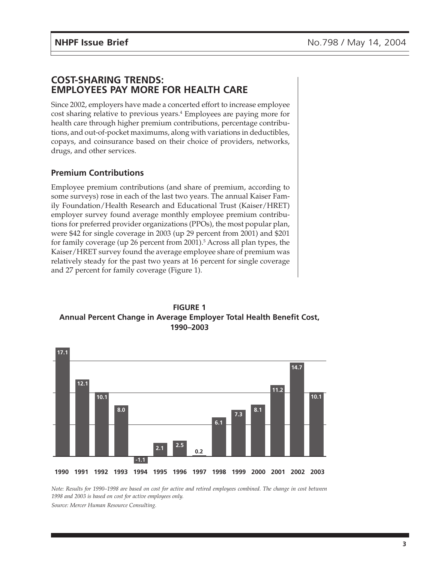## **COST-SHARING TRENDS: EMPLOYEES PAY MORE FOR HEALTH CARE**

Since 2002, employers have made a concerted effort to increase employee cost sharing relative to previous years.<sup>4</sup> Employees are paying more for health care through higher premium contributions, percentage contributions, and out-of-pocket maximums, along with variations in deductibles, copays, and coinsurance based on their choice of providers, networks, drugs, and other services.

## **Premium Contributions**

Employee premium contributions (and share of premium, according to some surveys) rose in each of the last two years. The annual Kaiser Family Foundation/Health Research and Educational Trust (Kaiser/HRET) employer survey found average monthly employee premium contributions for preferred provider organizations (PPOs), the most popular plan, were \$42 for single coverage in 2003 (up 29 percent from 2001) and \$201 for family coverage (up 26 percent from 2001).5 Across all plan types, the Kaiser/HRET survey found the average employee share of premium was relatively steady for the past two years at 16 percent for single coverage and 27 percent for family coverage (Figure 1).

**FIGURE 1 Annual Percent Change in Average Employer Total Health Benefit Cost, 1990–2003**



*Note: Results for 1990–1998 are based on cost for active and retired employees combined. The change in cost between 1998 and 2003 is based on cost for active employees only.*

*Source: Mercer Human Resource Consulting.*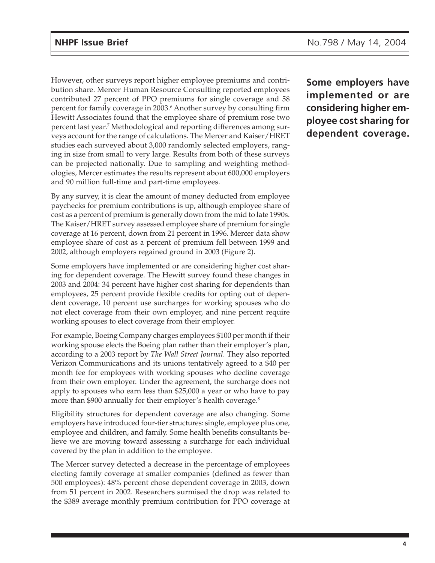However, other surveys report higher employee premiums and contribution share. Mercer Human Resource Consulting reported employees contributed 27 percent of PPO premiums for single coverage and 58 percent for family coverage in 2003.<sup>6</sup> Another survey by consulting firm Hewitt Associates found that the employee share of premium rose two percent last year.7 Methodological and reporting differences among surveys account for the range of calculations. The Mercer and Kaiser/HRET studies each surveyed about 3,000 randomly selected employers, ranging in size from small to very large. Results from both of these surveys can be projected nationally. Due to sampling and weighting methodologies, Mercer estimates the results represent about 600,000 employers and 90 million full-time and part-time employees.

By any survey, it is clear the amount of money deducted from employee paychecks for premium contributions is up, although employee share of cost as a percent of premium is generally down from the mid to late 1990s. The Kaiser/HRET survey assessed employee share of premium for single coverage at 16 percent, down from 21 percent in 1996. Mercer data show employee share of cost as a percent of premium fell between 1999 and 2002, although employers regained ground in 2003 (Figure 2).

Some employers have implemented or are considering higher cost sharing for dependent coverage. The Hewitt survey found these changes in 2003 and 2004: 34 percent have higher cost sharing for dependents than employees, 25 percent provide flexible credits for opting out of dependent coverage, 10 percent use surcharges for working spouses who do not elect coverage from their own employer, and nine percent require working spouses to elect coverage from their employer.

For example, Boeing Company charges employees \$100 per month if their working spouse elects the Boeing plan rather than their employer's plan, according to a 2003 report by *The Wall Street Journal*. They also reported Verizon Communications and its unions tentatively agreed to a \$40 per month fee for employees with working spouses who decline coverage from their own employer. Under the agreement, the surcharge does not apply to spouses who earn less than \$25,000 a year or who have to pay more than \$900 annually for their employer's health coverage.<sup>8</sup>

Eligibility structures for dependent coverage are also changing. Some employers have introduced four-tier structures: single, employee plus one, employee and children, and family. Some health benefits consultants believe we are moving toward assessing a surcharge for each individual covered by the plan in addition to the employee.

The Mercer survey detected a decrease in the percentage of employees electing family coverage at smaller companies (defined as fewer than 500 employees): 48% percent chose dependent coverage in 2003, down from 51 percent in 2002. Researchers surmised the drop was related to the \$389 average monthly premium contribution for PPO coverage at

**Some employers have implemented or are considering higher employee cost sharing for dependent coverage.**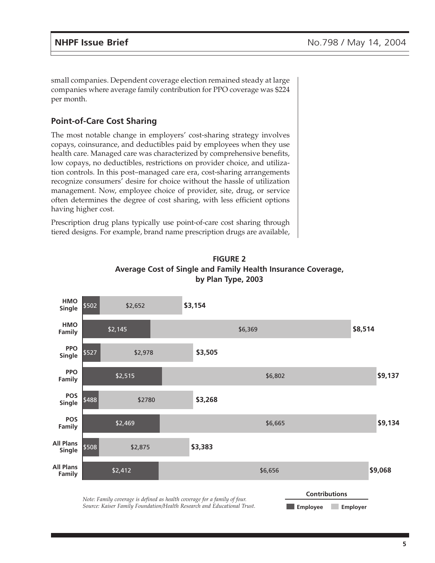small companies. Dependent coverage election remained steady at large companies where average family contribution for PPO coverage was \$224 per month.

## **Point-of-Care Cost Sharing**

The most notable change in employers' cost-sharing strategy involves copays, coinsurance, and deductibles paid by employees when they use health care. Managed care was characterized by comprehensive benefits, low copays, no deductibles, restrictions on provider choice, and utilization controls. In this post–managed care era, cost-sharing arrangements recognize consumers' desire for choice without the hassle of utilization management. Now, employee choice of provider, site, drug, or service often determines the degree of cost sharing, with less efficient options having higher cost.

Prescription drug plans typically use point-of-care cost sharing through tiered designs. For example, brand name prescription drugs are available,



**FIGURE 2 Average Cost of Single and Family Health Insurance Coverage, by Plan Type, 2003**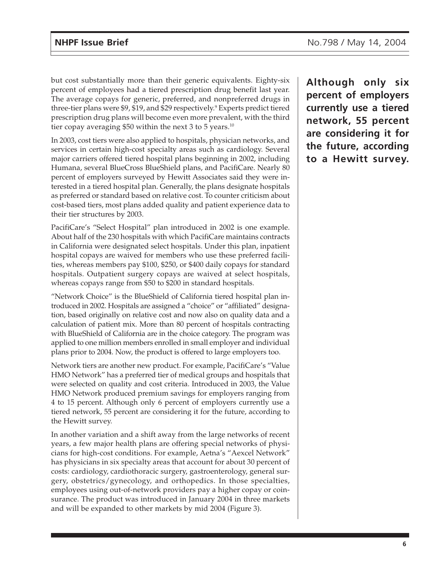but cost substantially more than their generic equivalents. Eighty-six percent of employees had a tiered prescription drug benefit last year. The average copays for generic, preferred, and nonpreferred drugs in three-tier plans were \$9, \$19, and \$29 respectively.<sup>9</sup> Experts predict tiered prescription drug plans will become even more prevalent, with the third tier copay averaging \$50 within the next 3 to 5 years.<sup>10</sup>

In 2003, cost tiers were also applied to hospitals, physician networks, and services in certain high-cost specialty areas such as cardiology. Several major carriers offered tiered hospital plans beginning in 2002, including Humana, several BlueCross BlueShield plans, and PacifiCare. Nearly 80 percent of employers surveyed by Hewitt Associates said they were interested in a tiered hospital plan. Generally, the plans designate hospitals as preferred or standard based on relative cost. To counter criticism about cost-based tiers, most plans added quality and patient experience data to their tier structures by 2003.

PacifiCare's "Select Hospital" plan introduced in 2002 is one example. About half of the 230 hospitals with which PacifiCare maintains contracts in California were designated select hospitals. Under this plan, inpatient hospital copays are waived for members who use these preferred facilities, whereas members pay \$100, \$250, or \$400 daily copays for standard hospitals. Outpatient surgery copays are waived at select hospitals, whereas copays range from \$50 to \$200 in standard hospitals.

"Network Choice" is the BlueShield of California tiered hospital plan introduced in 2002. Hospitals are assigned a "choice" or "affiliated" designation, based originally on relative cost and now also on quality data and a calculation of patient mix. More than 80 percent of hospitals contracting with BlueShield of California are in the choice category. The program was applied to one million members enrolled in small employer and individual plans prior to 2004. Now, the product is offered to large employers too.

Network tiers are another new product. For example, PacifiCare's "Value HMO Network" has a preferred tier of medical groups and hospitals that were selected on quality and cost criteria. Introduced in 2003, the Value HMO Network produced premium savings for employers ranging from 4 to 15 percent. Although only 6 percent of employers currently use a tiered network, 55 percent are considering it for the future, according to the Hewitt survey.

In another variation and a shift away from the large networks of recent years, a few major health plans are offering special networks of physicians for high-cost conditions. For example, Aetna's "Aexcel Network" has physicians in six specialty areas that account for about 30 percent of costs: cardiology, cardiothoracic surgery, gastroenterology, general surgery, obstetrics/gynecology, and orthopedics. In those specialties, employees using out-of-network providers pay a higher copay or coinsurance. The product was introduced in January 2004 in three markets and will be expanded to other markets by mid 2004 (Figure 3).

**Although only six percent of employers currently use a tiered network, 55 percent are considering it for the future, according to a Hewitt survey.**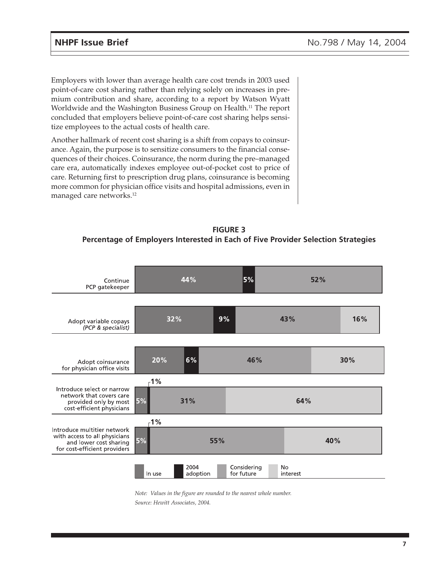Employers with lower than average health care cost trends in 2003 used point-of-care cost sharing rather than relying solely on increases in premium contribution and share, according to a report by Watson Wyatt Worldwide and the Washington Business Group on Health.<sup>11</sup> The report concluded that employers believe point-of-care cost sharing helps sensitize employees to the actual costs of health care.

Another hallmark of recent cost sharing is a shift from copays to coinsurance. Again, the purpose is to sensitize consumers to the financial consequences of their choices. Coinsurance, the norm during the pre–managed care era, automatically indexes employee out-of-pocket cost to price of care. Returning first to prescription drug plans, coinsurance is becoming more common for physician office visits and hospital admissions, even in managed care networks.<sup>12</sup>

## **FIGURE 3 Percentage of Employers Interested in Each of Five Provider Selection Strategies**



*Note: Values in the figure are rounded to the nearest whole number. Source: Hewitt Associates, 2004.*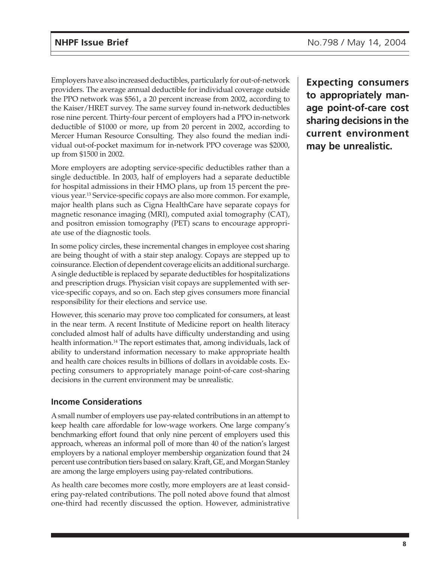Employers have also increased deductibles, particularly for out-of-network providers. The average annual deductible for individual coverage outside the PPO network was \$561, a 20 percent increase from 2002, according to the Kaiser/HRET survey. The same survey found in-network deductibles rose nine percent. Thirty-four percent of employers had a PPO in-network deductible of \$1000 or more, up from 20 percent in 2002, according to Mercer Human Resource Consulting. They also found the median individual out-of-pocket maximum for in-network PPO coverage was \$2000, up from \$1500 in 2002.

More employers are adopting service-specific deductibles rather than a single deductible. In 2003, half of employers had a separate deductible for hospital admissions in their HMO plans, up from 15 percent the previous year.13 Service-specific copays are also more common. For example, major health plans such as Cigna HealthCare have separate copays for magnetic resonance imaging (MRI), computed axial tomography (CAT), and positron emission tomography (PET) scans to encourage appropriate use of the diagnostic tools.

In some policy circles, these incremental changes in employee cost sharing are being thought of with a stair step analogy. Copays are stepped up to coinsurance. Election of dependent coverage elicits an additional surcharge. A single deductible is replaced by separate deductibles for hospitalizations and prescription drugs. Physician visit copays are supplemented with service-specific copays, and so on. Each step gives consumers more financial responsibility for their elections and service use.

However, this scenario may prove too complicated for consumers, at least in the near term. A recent Institute of Medicine report on health literacy concluded almost half of adults have difficulty understanding and using health information.<sup>14</sup> The report estimates that, among individuals, lack of ability to understand information necessary to make appropriate health and health care choices results in billions of dollars in avoidable costs. Expecting consumers to appropriately manage point-of-care cost-sharing decisions in the current environment may be unrealistic.

## **Income Considerations**

A small number of employers use pay-related contributions in an attempt to keep health care affordable for low-wage workers. One large company's benchmarking effort found that only nine percent of employers used this approach, whereas an informal poll of more than 40 of the nation's largest employers by a national employer membership organization found that 24 percent use contribution tiers based on salary. Kraft, GE, and Morgan Stanley are among the large employers using pay-related contributions.

As health care becomes more costly, more employers are at least considering pay-related contributions. The poll noted above found that almost one-third had recently discussed the option. However, administrative

**Expecting consumers to appropriately manage point-of-care cost sharing decisions in the current environment may be unrealistic.**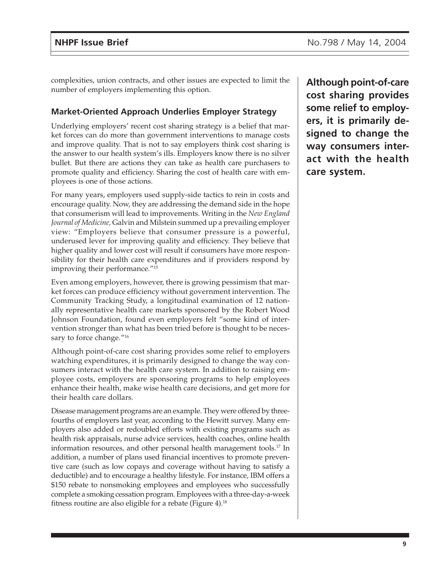complexities, union contracts, and other issues are expected to limit the number of employers implementing this option.

## **Market-Oriented Approach Underlies Employer Strategy**

Underlying employers' recent cost sharing strategy is a belief that market forces can do more than government interventions to manage costs and improve quality. That is not to say employers think cost sharing is the answer to our health system's ills. Employers know there is no silver bullet. But there are actions they can take as health care purchasers to promote quality and efficiency. Sharing the cost of health care with employees is one of those actions.

For many years, employers used supply-side tactics to rein in costs and encourage quality. Now, they are addressing the demand side in the hope that consumerism will lead to improvements. Writing in the *New England Journal of Medicine,* Galvin and Milstein summed up a prevailing employer view: "Employers believe that consumer pressure is a powerful, underused lever for improving quality and efficiency. They believe that higher quality and lower cost will result if consumers have more responsibility for their health care expenditures and if providers respond by improving their performance."15

Even among employers, however, there is growing pessimism that market forces can produce efficiency without government intervention. The Community Tracking Study, a longitudinal examination of 12 nationally representative health care markets sponsored by the Robert Wood Johnson Foundation, found even employers felt "some kind of intervention stronger than what has been tried before is thought to be necessary to force change."<sup>16</sup>

Although point-of-care cost sharing provides some relief to employers watching expenditures, it is primarily designed to change the way consumers interact with the health care system. In addition to raising employee costs, employers are sponsoring programs to help employees enhance their health, make wise health care decisions, and get more for their health care dollars.

Disease management programs are an example. They were offered by threefourths of employers last year, according to the Hewitt survey. Many employers also added or redoubled efforts with existing programs such as health risk appraisals, nurse advice services, health coaches, online health information resources, and other personal health management tools.<sup>17</sup> In addition, a number of plans used financial incentives to promote preventive care (such as low copays and coverage without having to satisfy a deductible) and to encourage a healthy lifestyle. For instance, IBM offers a \$150 rebate to nonsmoking employees and employees who successfully complete a smoking cessation program. Employees with a three-day-a-week fitness routine are also eligible for a rebate (Figure 4).<sup>18</sup>

**Although point-of-care cost sharing provides some relief to employers, it is primarily designed to change the way consumers interact with the health care system.**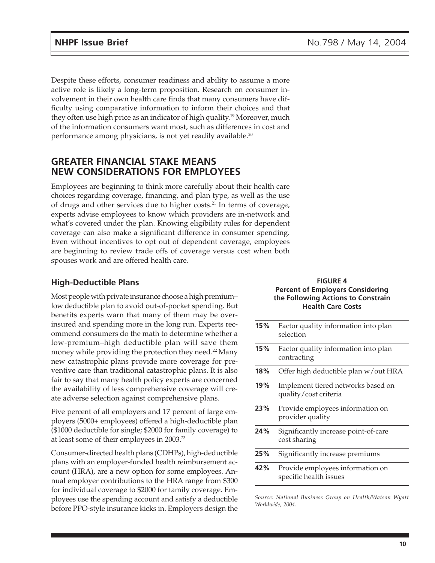Despite these efforts, consumer readiness and ability to assume a more active role is likely a long-term proposition. Research on consumer involvement in their own health care finds that many consumers have difficulty using comparative information to inform their choices and that they often use high price as an indicator of high quality.<sup>19</sup> Moreover, much of the information consumers want most, such as differences in cost and performance among physicians, is not yet readily available.<sup>20</sup>

## **GREATER FINANCIAL STAKE MEANS NEW CONSIDERATIONS FOR EMPLOYEES**

Employees are beginning to think more carefully about their health care choices regarding coverage, financing, and plan type, as well as the use of drugs and other services due to higher costs.21 In terms of coverage, experts advise employees to know which providers are in-network and what's covered under the plan. Knowing eligibility rules for dependent coverage can also make a significant difference in consumer spending. Even without incentives to opt out of dependent coverage, employees are beginning to review trade offs of coverage versus cost when both spouses work and are offered health care.

## **High-Deductible Plans**

Most people with private insurance choose a high premium– low deductible plan to avoid out-of-pocket spending. But benefits experts warn that many of them may be overinsured and spending more in the long run. Experts recommend consumers do the math to determine whether a low-premium–high deductible plan will save them money while providing the protection they need.<sup>22</sup> Many new catastrophic plans provide more coverage for preventive care than traditional catastrophic plans. It is also fair to say that many health policy experts are concerned the availability of less comprehensive coverage will create adverse selection against comprehensive plans.

Five percent of all employers and 17 percent of large employers (5000+ employees) offered a high-deductible plan (\$1000 deductible for single; \$2000 for family coverage) to at least some of their employees in 2003.23

Consumer-directed health plans (CDHPs), high-deductible plans with an employer-funded health reimbursement account (HRA), are a new option for some employees. Annual employer contributions to the HRA range from \$300 for individual coverage to \$2000 for family coverage. Employees use the spending account and satisfy a deductible before PPO-style insurance kicks in. Employers design the

#### **FIGURE 4 Percent of Employers Considering the Following Actions to Constrain Health Care Costs**

| 15% | Factor quality information into plan<br>selection           |
|-----|-------------------------------------------------------------|
| 15% | Factor quality information into plan<br>contracting         |
| 18% | Offer high deductible plan w/out HRA                        |
| 19% | Implement tiered networks based on<br>quality/cost criteria |
| 23% | Provide employees information on<br>provider quality        |
| 24% | Significantly increase point-of-care<br>cost sharing        |
| 25% | Significantly increase premiums                             |
| 42% | Provide employees information on<br>specific health issues  |

*Source: National Business Group on Health/Watson Wyatt Worldwide, 2004.*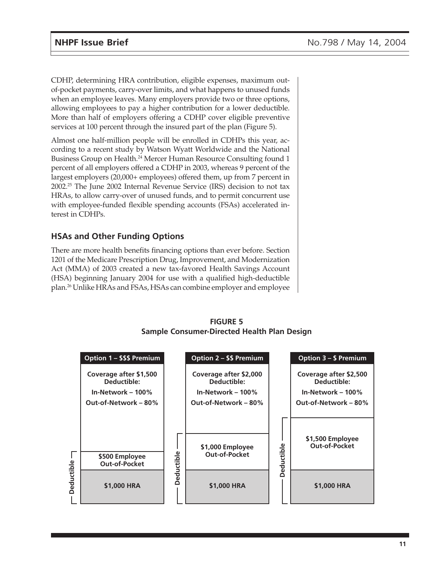CDHP, determining HRA contribution, eligible expenses, maximum outof-pocket payments, carry-over limits, and what happens to unused funds when an employee leaves. Many employers provide two or three options, allowing employees to pay a higher contribution for a lower deductible. More than half of employers offering a CDHP cover eligible preventive services at 100 percent through the insured part of the plan (Figure 5).

Almost one half-million people will be enrolled in CDHPs this year, according to a recent study by Watson Wyatt Worldwide and the National Business Group on Health.<sup>24</sup> Mercer Human Resource Consulting found 1 percent of all employers offered a CDHP in 2003, whereas 9 percent of the largest employers (20,000+ employees) offered them, up from 7 percent in 2002.25 The June 2002 Internal Revenue Service (IRS) decision to not tax HRAs, to allow carry-over of unused funds, and to permit concurrent use with employee-funded flexible spending accounts (FSAs) accelerated interest in CDHPs.

## **HSAs and Other Funding Options**

There are more health benefits financing options than ever before. Section 1201 of the Medicare Prescription Drug, Improvement, and Modernization Act (MMA) of 2003 created a new tax-favored Health Savings Account (HSA) beginning January 2004 for use with a qualified high-deductible plan.26 Unlike HRAs and FSAs, HSAs can combine employer and employee



## **FIGURE 5 Sample Consumer-Directed Health Plan Design**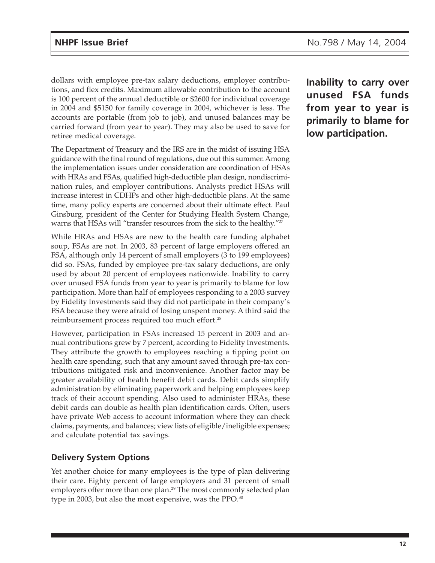dollars with employee pre-tax salary deductions, employer contributions, and flex credits. Maximum allowable contribution to the account is 100 percent of the annual deductible or \$2600 for individual coverage in 2004 and \$5150 for family coverage in 2004, whichever is less. The accounts are portable (from job to job), and unused balances may be carried forward (from year to year). They may also be used to save for retiree medical coverage.

The Department of Treasury and the IRS are in the midst of issuing HSA guidance with the final round of regulations, due out this summer. Among the implementation issues under consideration are coordination of HSAs with HRAs and FSAs, qualified high-deductible plan design, nondiscrimination rules, and employer contributions. Analysts predict HSAs will increase interest in CDHPs and other high-deductible plans. At the same time, many policy experts are concerned about their ultimate effect. Paul Ginsburg, president of the Center for Studying Health System Change, warns that HSAs will "transfer resources from the sick to the healthy."<sup>27</sup>

While HRAs and HSAs are new to the health care funding alphabet soup, FSAs are not. In 2003, 83 percent of large employers offered an FSA, although only 14 percent of small employers (3 to 199 employees) did so. FSAs, funded by employee pre-tax salary deductions, are only used by about 20 percent of employees nationwide. Inability to carry over unused FSA funds from year to year is primarily to blame for low participation. More than half of employees responding to a 2003 survey by Fidelity Investments said they did not participate in their company's FSA because they were afraid of losing unspent money. A third said the reimbursement process required too much effort.<sup>28</sup>

However, participation in FSAs increased 15 percent in 2003 and annual contributions grew by 7 percent, according to Fidelity Investments. They attribute the growth to employees reaching a tipping point on health care spending, such that any amount saved through pre-tax contributions mitigated risk and inconvenience. Another factor may be greater availability of health benefit debit cards. Debit cards simplify administration by eliminating paperwork and helping employees keep track of their account spending. Also used to administer HRAs, these debit cards can double as health plan identification cards. Often, users have private Web access to account information where they can check claims, payments, and balances; view lists of eligible/ineligible expenses; and calculate potential tax savings.

## **Delivery System Options**

Yet another choice for many employees is the type of plan delivering their care. Eighty percent of large employers and 31 percent of small employers offer more than one plan.<sup>29</sup> The most commonly selected plan type in 2003, but also the most expensive, was the PPO.<sup>30</sup>

**Inability to carry over unused FSA funds from year to year is primarily to blame for low participation.**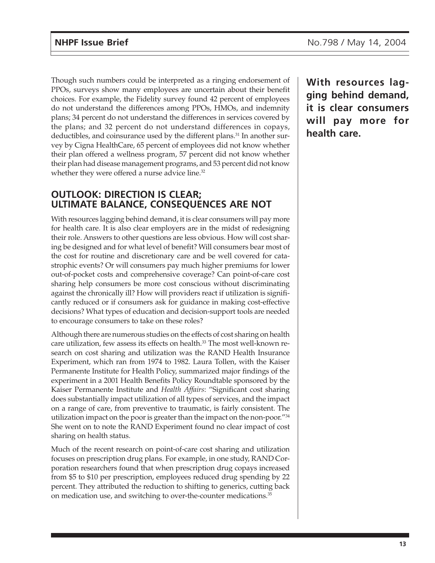Though such numbers could be interpreted as a ringing endorsement of PPOs, surveys show many employees are uncertain about their benefit choices. For example, the Fidelity survey found 42 percent of employees do not understand the differences among PPOs, HMOs, and indemnity plans; 34 percent do not understand the differences in services covered by the plans; and 32 percent do not understand differences in copays, deductibles, and coinsurance used by the different plans.<sup>31</sup> In another survey by Cigna HealthCare, 65 percent of employees did not know whether their plan offered a wellness program, 57 percent did not know whether their plan had disease management programs, and 53 percent did not know whether they were offered a nurse advice line.<sup>32</sup>

## **OUTLOOK: DIRECTION IS CLEAR; ULTIMATE BALANCE, CONSEQUENCES ARE NOT**

With resources lagging behind demand, it is clear consumers will pay more for health care. It is also clear employers are in the midst of redesigning their role. Answers to other questions are less obvious. How will cost sharing be designed and for what level of benefit? Will consumers bear most of the cost for routine and discretionary care and be well covered for catastrophic events? Or will consumers pay much higher premiums for lower out-of-pocket costs and comprehensive coverage? Can point-of-care cost sharing help consumers be more cost conscious without discriminating against the chronically ill? How will providers react if utilization is significantly reduced or if consumers ask for guidance in making cost-effective decisions? What types of education and decision-support tools are needed to encourage consumers to take on these roles?

Although there are numerous studies on the effects of cost sharing on health care utilization, few assess its effects on health.<sup>33</sup> The most well-known research on cost sharing and utilization was the RAND Health Insurance Experiment, which ran from 1974 to 1982. Laura Tollen, with the Kaiser Permanente Institute for Health Policy, summarized major findings of the experiment in a 2001 Health Benefits Policy Roundtable sponsored by the Kaiser Permanente Institute and *Health Affairs*: "Significant cost sharing does substantially impact utilization of all types of services, and the impact on a range of care, from preventive to traumatic, is fairly consistent. The utilization impact on the poor is greater than the impact on the non-poor."34 She went on to note the RAND Experiment found no clear impact of cost sharing on health status.

Much of the recent research on point-of-care cost sharing and utilization focuses on prescription drug plans. For example, in one study, RAND Corporation researchers found that when prescription drug copays increased from \$5 to \$10 per prescription, employees reduced drug spending by 22 percent. They attributed the reduction to shifting to generics, cutting back on medication use, and switching to over-the-counter medications.<sup>35</sup>

**With resources lagging behind demand, it is clear consumers will pay more for health care.**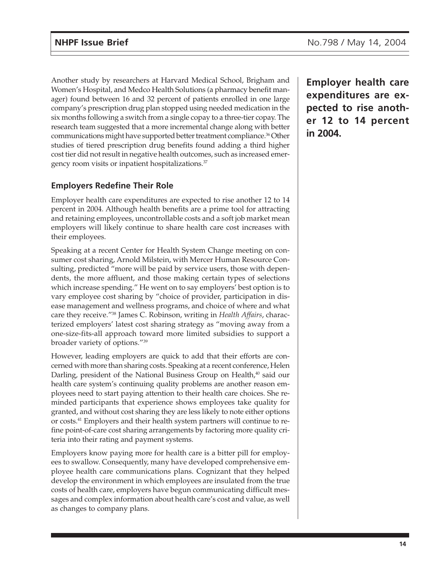Another study by researchers at Harvard Medical School, Brigham and Women's Hospital, and Medco Health Solutions (a pharmacy benefit manager) found between 16 and 32 percent of patients enrolled in one large company's prescription drug plan stopped using needed medication in the six months following a switch from a single copay to a three-tier copay. The research team suggested that a more incremental change along with better communications might have supported better treatment compliance.<sup>36</sup> Other studies of tiered prescription drug benefits found adding a third higher cost tier did not result in negative health outcomes, such as increased emergency room visits or inpatient hospitalizations.<sup>37</sup>

## **Employers Redefine Their Role**

Employer health care expenditures are expected to rise another 12 to 14 percent in 2004. Although health benefits are a prime tool for attracting and retaining employees, uncontrollable costs and a soft job market mean employers will likely continue to share health care cost increases with their employees.

Speaking at a recent Center for Health System Change meeting on consumer cost sharing, Arnold Milstein, with Mercer Human Resource Consulting, predicted "more will be paid by service users, those with dependents, the more affluent, and those making certain types of selections which increase spending." He went on to say employers' best option is to vary employee cost sharing by "choice of provider, participation in disease management and wellness programs, and choice of where and what care they receive."38 James C. Robinson, writing in *Health Affairs*, characterized employers' latest cost sharing strategy as "moving away from a one-size-fits-all approach toward more limited subsidies to support a broader variety of options."39

However, leading employers are quick to add that their efforts are concerned with more than sharing costs. Speaking at a recent conference, Helen Darling, president of the National Business Group on Health,<sup>40</sup> said our health care system's continuing quality problems are another reason employees need to start paying attention to their health care choices. She reminded participants that experience shows employees take quality for granted, and without cost sharing they are less likely to note either options or costs.<sup>41</sup> Employers and their health system partners will continue to refine point-of-care cost sharing arrangements by factoring more quality criteria into their rating and payment systems.

Employers know paying more for health care is a bitter pill for employees to swallow. Consequently, many have developed comprehensive employee health care communications plans. Cognizant that they helped develop the environment in which employees are insulated from the true costs of health care, employers have begun communicating difficult messages and complex information about health care's cost and value, as well as changes to company plans.

**Employer health care expenditures are expected to rise another 12 to 14 percent in 2004.**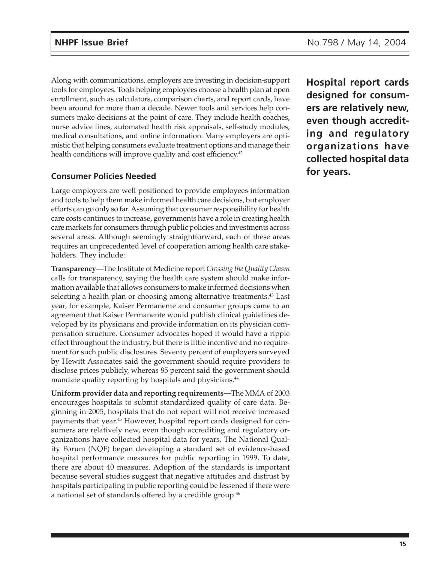Along with communications, employers are investing in decision-support tools for employees. Tools helping employees choose a health plan at open enrollment, such as calculators, comparison charts, and report cards, have been around for more than a decade. Newer tools and services help consumers make decisions at the point of care. They include health coaches, nurse advice lines, automated health risk appraisals, self-study modules, medical consultations, and online information. Many employers are optimistic that helping consumers evaluate treatment options and manage their health conditions will improve quality and cost efficiency.<sup>42</sup>

## **Consumer Policies Needed**

Large employers are well positioned to provide employees information and tools to help them make informed health care decisions, but employer efforts can go only so far. Assuming that consumer responsibility for health care costs continues to increase, governments have a role in creating health care markets for consumers through public policies and investments across several areas. Although seemingly straightforward, each of these areas requires an unprecedented level of cooperation among health care stakeholders. They include:

**Transparency—**The Institute of Medicine report *Crossing the Quality Chasm* calls for transparency, saying the health care system should make information available that allows consumers to make informed decisions when selecting a health plan or choosing among alternative treatments.<sup>43</sup> Last year, for example, Kaiser Permanente and consumer groups came to an agreement that Kaiser Permanente would publish clinical guidelines developed by its physicians and provide information on its physician compensation structure. Consumer advocates hoped it would have a ripple effect throughout the industry, but there is little incentive and no requirement for such public disclosures. Seventy percent of employers surveyed by Hewitt Associates said the government should require providers to disclose prices publicly, whereas 85 percent said the government should mandate quality reporting by hospitals and physicians.<sup>44</sup>

**Uniform provider data and reporting requirements—**The MMA of 2003 encourages hospitals to submit standardized quality of care data. Beginning in 2005, hospitals that do not report will not receive increased payments that year.<sup>45</sup> However, hospital report cards designed for consumers are relatively new, even though accrediting and regulatory organizations have collected hospital data for years. The National Quality Forum (NQF) began developing a standard set of evidence-based hospital performance measures for public reporting in 1999. To date, there are about 40 measures. Adoption of the standards is important because several studies suggest that negative attitudes and distrust by hospitals participating in public reporting could be lessened if there were a national set of standards offered by a credible group.<sup>46</sup>

**Hospital report cards designed for consumers are relatively new, even though accrediting and regulatory organizations have collected hospital data for years.**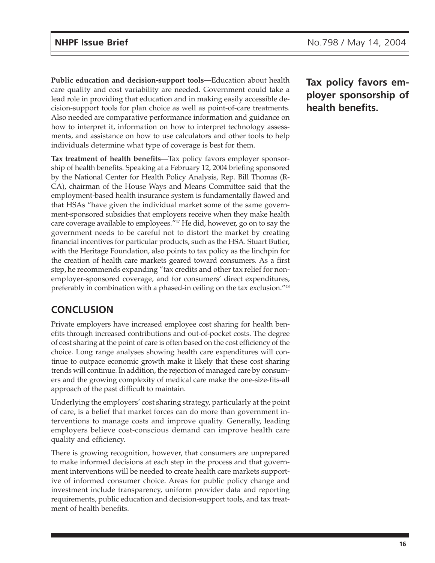**Public education and decision-support tools—**Education about health care quality and cost variability are needed. Government could take a lead role in providing that education and in making easily accessible decision-support tools for plan choice as well as point-of-care treatments. Also needed are comparative performance information and guidance on how to interpret it, information on how to interpret technology assessments, and assistance on how to use calculators and other tools to help individuals determine what type of coverage is best for them.

**Tax treatment of health benefits—**Tax policy favors employer sponsorship of health benefits. Speaking at a February 12, 2004 briefing sponsored by the National Center for Health Policy Analysis, Rep. Bill Thomas (R-CA), chairman of the House Ways and Means Committee said that the employment-based health insurance system is fundamentally flawed and that HSAs "have given the individual market some of the same government-sponsored subsidies that employers receive when they make health care coverage available to employees."47 He did, however, go on to say the government needs to be careful not to distort the market by creating financial incentives for particular products, such as the HSA. Stuart Butler, with the Heritage Foundation, also points to tax policy as the linchpin for the creation of health care markets geared toward consumers. As a first step, he recommends expanding "tax credits and other tax relief for nonemployer-sponsored coverage, and for consumers' direct expenditures, preferably in combination with a phased-in ceiling on the tax exclusion."48

## **CONCLUSION**

Private employers have increased employee cost sharing for health benefits through increased contributions and out-of-pocket costs. The degree of cost sharing at the point of care is often based on the cost efficiency of the choice. Long range analyses showing health care expenditures will continue to outpace economic growth make it likely that these cost sharing trends will continue. In addition, the rejection of managed care by consumers and the growing complexity of medical care make the one-size-fits-all approach of the past difficult to maintain.

Underlying the employers' cost sharing strategy, particularly at the point of care, is a belief that market forces can do more than government interventions to manage costs and improve quality. Generally, leading employers believe cost-conscious demand can improve health care quality and efficiency.

There is growing recognition, however, that consumers are unprepared to make informed decisions at each step in the process and that government interventions will be needed to create health care markets supportive of informed consumer choice. Areas for public policy change and investment include transparency, uniform provider data and reporting requirements, public education and decision-support tools, and tax treatment of health benefits.

**Tax policy favors employer sponsorship of health benefits.**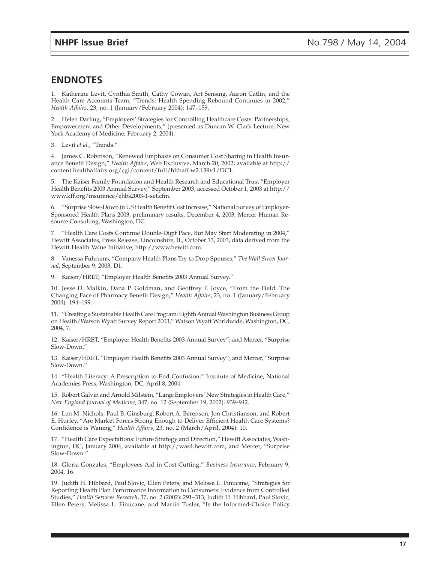## **ENDNOTES**

1. Katherine Levit, Cynthia Smith, Cathy Cowan, Art Sensing, Aaron Catlin, and the Health Care Accounts Team, "Trends: Health Spending Rebound Continues in 2002," *Health Affairs*, 23, no. 1 (January/February 2004): 147–159.

2. Helen Darling, "Employers' Strategies for Controlling Healthcare Costs: Partnerships, Empowerment and Other Developments," (presented as Duncan W. Clark Lecture, New York Academy of Medicine, February 2, 2004).

3. Levit *et al.*, "Trends."

4. James C. Robinson, "Renewed Emphasis on Consumer Cost Sharing in Health Insurance Benefit Design," *Health Affairs*, Web Exclusive, March 20, 2002; available at http:// content.healthaffairs.org/cgi/content/full/hlthaff.w2.139v1/DC1.

5. The Kaiser Family Foundation and Health Research and Educational Trust "Employer Health Benefits 2003 Annual Survey," September 2003; accessed October 1, 2003 at http:// www.kff.org/insurance/ehbs2003-1-set.cfm.

6. "Surprise Slow-Down in US Health Benefit Cost Increase," National Survey of Employer-Sponsored Health Plans 2003, preliminary results, December 4, 2003, Mercer Human Resource Consulting, Washington, DC.

7. "Health Care Costs Continue Double-Digit Pace, But May Start Moderating in 2004," Hewitt Associates, Press Release, Lincolnshire, IL, October 13, 2003, data derived from the Hewitt Health Value Initiative, http://www.hewitt.com.

8. Vanessa Fuhrums, "Company Health Plans Try to Drop Spouses," *The Wall Street Journal*, September 9, 2003, D1.

9. Kaiser/HRET, "Employer Health Benefits 2003 Annual Survey."

10. Jesse D. Malkin, Dana P. Goldman, and Geoffrey F. Joyce, "From the Field: The Changing Face of Pharmacy Benefit Design," *Health Affairs*, 23, no. 1 (January/February 2004): 194–199.

11. "Creating a Sustainable Health Care Program: Eighth Annual Washington Business Group on Health/Watson Wyatt Survey Report 2003," Watson Wyatt Worldwide, Washington, DC, 2004, 7.

12. Kaiser/HRET, "Employer Health Benefits 2003 Annual Survey"; and Mercer, "Surprise Slow-Down."

13. Kaiser/HRET, "Employer Health Benefits 2003 Annual Survey"; and Mercer, "Surprise Slow-Down."

14. "Health Literacy: A Prescription to End Confusion," Institute of Medicine, National Academies Press, Washington, DC, April 8, 2004.

15. Robert Galvin and Arnold Milstein, "Large Employers' New Strategies in Health Care," *New England Journal of Medicine*, 347, no. 12 (September 19, 2002): 939–942.

16. Len M. Nichols, Paul B. Ginsburg, Robert A. Berenson, Jon Christianson, and Robert E. Hurley, "Are Market Forces Strong Enough to Deliver Efficient Health Care Systems? Confidence is Waning," *Health Affairs*, 23, no. 2 (March/April, 2004): 10.

17. "Health Care Expectations: Future Strategy and Direction," Hewitt Associates, Washington, DC, January 2004, available at http://was4.hewitt.com; and Mercer, "Surprise Slow-Down."

18. Gloria Gonzales, "Employees Aid in Cost Cutting," *Business Insurance*, February 9, 2004, 16.

19. Judith H. Hibbard, Paul Slovic, Ellen Peters, and Melissa L. Finucane, "Strategies for Reporting Health Plan Performance Information to Consumers: Evidence from Controlled Studies," *Health Services Research*, 37, no. 2 (2002): 291–313; Judith H. Hibbard, Paul Slovic, Ellen Peters, Melissa L. Finucane, and Martin Tusler, "Is the Informed-Choice Policy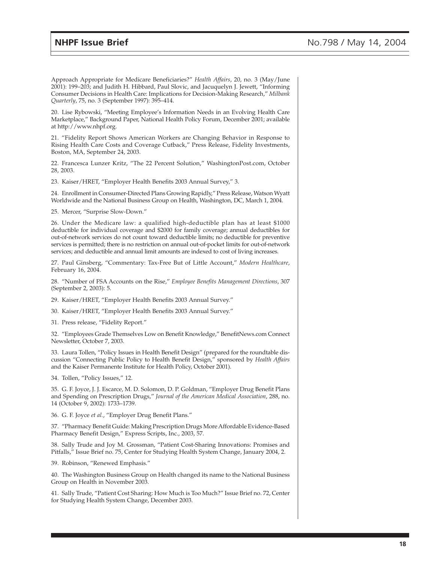Approach Appropriate for Medicare Beneficiaries?" *Health Affairs*, 20, no. 3 (May/June 2001): 199–203; and Judith H. Hibbard, Paul Slovic, and Jacuquelyn J. Jewett, "Informing Consumer Decisions in Health Care: Implications for Decision-Making Research," *Milbank Quarterly*, 75, no. 3 (September 1997): 395–414.

20. Lise Rybowski, "Meeting Employee's Information Needs in an Evolving Health Care Marketplace," Background Paper, National Health Policy Forum, December 2001; available at http://www.nhpf.org.

21. "Fidelity Report Shows American Workers are Changing Behavior in Response to Rising Health Care Costs and Coverage Cutback," Press Release, Fidelity Investments, Boston, MA, September 24, 2003.

22. Francesca Lunzer Kritz, "The 22 Percent Solution," WashingtonPost.com, October 28, 2003.

23. Kaiser/HRET, "Employer Health Benefits 2003 Annual Survey," 3.

24. Enrollment in Consumer-Directed Plans Growing Rapidly," Press Release, Watson Wyatt Worldwide and the National Business Group on Health, Washington, DC, March 1, 2004.

25. Mercer, "Surprise Slow-Down."

26. Under the Medicare law: a qualified high-deductible plan has at least \$1000 deductible for individual coverage and \$2000 for family coverage; annual deductibles for out-of-network services do not count toward deductible limits; no deductible for preventive services is permitted; there is no restriction on annual out-of-pocket limits for out-of-network services; and deductible and annual limit amounts are indexed to cost of living increases.

27. Paul Ginsberg, "Commentary: Tax-Free But of Little Account," *Modern Healthcare*, February 16, 2004.

28. "Number of FSA Accounts on the Rise," *Employee Benefits Management Directions*, 307 (September 2, 2003): 5.

29. Kaiser/HRET, "Employer Health Benefits 2003 Annual Survey."

30. Kaiser/HRET, "Employer Health Benefits 2003 Annual Survey."

31. Press release, "Fidelity Report."

32. "Employees Grade Themselves Low on Benefit Knowledge," BenefitNews.com Connect Newsletter, October 7, 2003.

33. Laura Tollen, "Policy Issues in Health Benefit Design" (prepared for the roundtable discussion "Connecting Public Policy to Health Benefit Design," sponsored by *Health Affairs* and the Kaiser Permanente Institute for Health Policy, October 2001).

34. Tollen, "Policy Issues," 12.

35. G. F. Joyce, J. J. Escarce, M. D. Solomon, D. P. Goldman, "Employer Drug Benefit Plans and Spending on Prescription Drugs," *Journal of the American Medical Association*, 288, no. 14 (October 9, 2002): 1733–1739.

36. G. F. Joyce *et al.*, "Employer Drug Benefit Plans."

37. "Pharmacy Benefit Guide: Making Prescription Drugs More Affordable Evidence-Based Pharmacy Benefit Design," Express Scripts, Inc., 2003, 57.

38. Sally Trude and Joy M. Grossman, "Patient Cost-Sharing Innovations: Promises and Pitfalls," Issue Brief no. 75, Center for Studying Health System Change, January 2004, 2.

39. Robinson, "Renewed Emphasis."

40. The Washington Business Group on Health changed its name to the National Business Group on Health in November 2003.

41. Sally Trude, "Patient Cost Sharing: How Much is Too Much?" Issue Brief no. 72, Center for Studying Health System Change, December 2003.